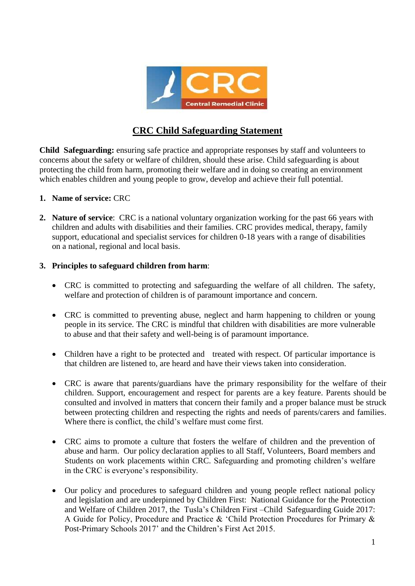

# **CRC Child Safeguarding Statement**

**Child Safeguarding:** ensuring safe practice and appropriate responses by staff and volunteers to concerns about the safety or welfare of children, should these arise. Child safeguarding is about protecting the child from harm, promoting their welfare and in doing so creating an environment which enables children and young people to grow, develop and achieve their full potential.

- **1. Name of service:** CRC
- **2. Nature of service**: CRC is a national voluntary organization working for the past 66 years with children and adults with disabilities and their families. CRC provides medical, therapy, family support, educational and specialist services for children 0-18 years with a range of disabilities on a national, regional and local basis.

#### **3. Principles to safeguard children from harm**:

- CRC is committed to protecting and safeguarding the welfare of all children. The safety, welfare and protection of children is of paramount importance and concern.
- CRC is committed to preventing abuse, neglect and harm happening to children or young people in its service. The CRC is mindful that children with disabilities are more vulnerable to abuse and that their safety and well-being is of paramount importance.
- Children have a right to be protected and treated with respect. Of particular importance is that children are listened to, are heard and have their views taken into consideration.
- CRC is aware that parents/guardians have the primary responsibility for the welfare of their children. Support, encouragement and respect for parents are a key feature. Parents should be consulted and involved in matters that concern their family and a proper balance must be struck between protecting children and respecting the rights and needs of parents/carers and families. Where there is conflict, the child's welfare must come first.
- CRC aims to promote a culture that fosters the welfare of children and the prevention of abuse and harm. Our policy declaration applies to all Staff, Volunteers, Board members and Students on work placements within CRC. Safeguarding and promoting children's welfare in the CRC is everyone's responsibility.
- Our policy and procedures to safeguard children and young people reflect national policy and legislation and are underpinned by Children First: National Guidance for the Protection and Welfare of Children 2017, the Tusla's Children First –Child Safeguarding Guide 2017: A Guide for Policy, Procedure and Practice & 'Child Protection Procedures for Primary & Post-Primary Schools 2017' and the Children's First Act 2015.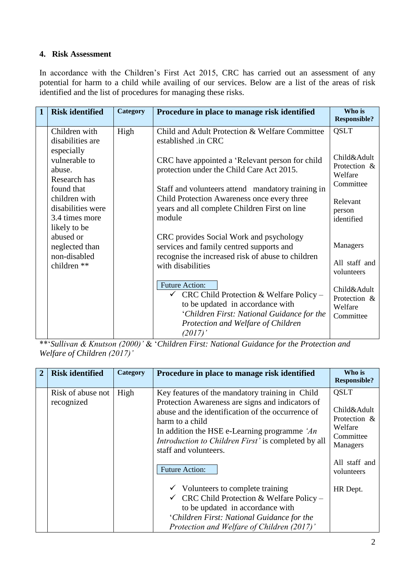# **4. Risk Assessment**

In accordance with the Children's First Act 2015, CRC has carried out an assessment of any potential for harm to a child while availing of our services. Below are a list of the areas of risk identified and the list of procedures for managing these risks.

| $\mathbf{1}$ | <b>Risk identified</b>                                               | Category | Procedure in place to manage risk identified                                                                                                                                                                        | Who is<br><b>Responsible?</b>                       |
|--------------|----------------------------------------------------------------------|----------|---------------------------------------------------------------------------------------------------------------------------------------------------------------------------------------------------------------------|-----------------------------------------------------|
|              | Children with<br>disabilities are                                    | High     | Child and Adult Protection & Welfare Committee<br>established .in CRC                                                                                                                                               | <b>QSLT</b>                                         |
|              | especially<br>vulnerable to<br>abuse.<br>Research has<br>found that  |          | CRC have appointed a 'Relevant person for child<br>protection under the Child Care Act 2015.<br>Staff and volunteers attend mandatory training in                                                                   | Child&Adult<br>Protection &<br>Welfare<br>Committee |
|              | children with<br>disabilities were<br>3.4 times more<br>likely to be |          | Child Protection Awareness once every three<br>years and all complete Children First on line<br>module                                                                                                              | Relevant<br>person<br>identified                    |
|              | abused or<br>neglected than<br>non-disabled<br>children **           |          | CRC provides Social Work and psychology<br>services and family centred supports and<br>recognise the increased risk of abuse to children<br>with disabilities                                                       | Managers<br>All staff and<br>volunteers             |
|              |                                                                      |          | <b>Future Action:</b><br>$\checkmark$ CRC Child Protection & Welfare Policy –<br>to be updated in accordance with<br>'Children First: National Guidance for the<br>Protection and Welfare of Children<br>$(2017)$ ' | Child&Adult<br>Protection &<br>Welfare<br>Committee |

\*\*'*Sullivan & Knutson (2000)'* & '*Children First: National Guidance for the Protection and Welfare of Children (2017)'*

| $\mathbf{2}$ | <b>Risk identified</b>          | Category | Procedure in place to manage risk identified                                                                                                                                                                                                                                                                                                | Who is<br><b>Responsible?</b>                                                                                        |
|--------------|---------------------------------|----------|---------------------------------------------------------------------------------------------------------------------------------------------------------------------------------------------------------------------------------------------------------------------------------------------------------------------------------------------|----------------------------------------------------------------------------------------------------------------------|
|              | Risk of abuse not<br>recognized | High     | Key features of the mandatory training in Child<br>Protection Awareness are signs and indicators of<br>abuse and the identification of the occurrence of<br>harm to a child<br>In addition the HSE e-Learning programme 'An<br><i>Introduction to Children First'</i> is completed by all<br>staff and volunteers.<br><b>Future Action:</b> | <b>QSLT</b><br>Child&Adult<br>Protection &<br>Welfare<br>Committee<br><b>Managers</b><br>All staff and<br>volunteers |
|              |                                 |          | $\checkmark$ Volunteers to complete training<br>$\checkmark$ CRC Child Protection & Welfare Policy –<br>to be updated in accordance with<br>'Children First: National Guidance for the<br>Protection and Welfare of Children (2017)'                                                                                                        | HR Dept.                                                                                                             |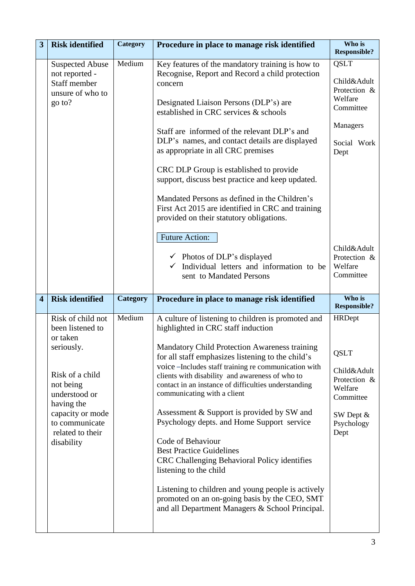| 3                       | <b>Risk identified</b>                                                                                                                                                                                 | Category        | Procedure in place to manage risk identified                                                                                                                                                                                                                                                                                                                                                                                                                                                                                                                                                                                                                                                                                                                                             | Who is<br><b>Responsible?</b>                                                                                   |
|-------------------------|--------------------------------------------------------------------------------------------------------------------------------------------------------------------------------------------------------|-----------------|------------------------------------------------------------------------------------------------------------------------------------------------------------------------------------------------------------------------------------------------------------------------------------------------------------------------------------------------------------------------------------------------------------------------------------------------------------------------------------------------------------------------------------------------------------------------------------------------------------------------------------------------------------------------------------------------------------------------------------------------------------------------------------------|-----------------------------------------------------------------------------------------------------------------|
|                         | <b>Suspected Abuse</b><br>not reported -<br>Staff member<br>unsure of who to<br>go to?                                                                                                                 | Medium          | Key features of the mandatory training is how to<br>Recognise, Report and Record a child protection<br>concern<br>Designated Liaison Persons (DLP's) are<br>established in CRC services & schools                                                                                                                                                                                                                                                                                                                                                                                                                                                                                                                                                                                        | <b>QSLT</b><br>Child&Adult<br>Protection &<br>Welfare<br>Committee                                              |
|                         |                                                                                                                                                                                                        |                 | Staff are informed of the relevant DLP's and<br>DLP's names, and contact details are displayed<br>as appropriate in all CRC premises<br>CRC DLP Group is established to provide<br>support, discuss best practice and keep updated.                                                                                                                                                                                                                                                                                                                                                                                                                                                                                                                                                      | Managers<br>Social Work<br>Dept                                                                                 |
|                         |                                                                                                                                                                                                        |                 | Mandated Persons as defined in the Children's<br>First Act 2015 are identified in CRC and training<br>provided on their statutory obligations.<br><b>Future Action:</b>                                                                                                                                                                                                                                                                                                                                                                                                                                                                                                                                                                                                                  |                                                                                                                 |
|                         |                                                                                                                                                                                                        |                 | $\checkmark$ Photos of DLP's displayed<br>$\checkmark$ Individual letters and information to be<br>sent to Mandated Persons                                                                                                                                                                                                                                                                                                                                                                                                                                                                                                                                                                                                                                                              | Child&Adult<br>Protection &<br>Welfare<br>Committee                                                             |
| $\overline{\mathbf{4}}$ | <b>Risk identified</b>                                                                                                                                                                                 | <b>Category</b> | Procedure in place to manage risk identified                                                                                                                                                                                                                                                                                                                                                                                                                                                                                                                                                                                                                                                                                                                                             | Who is<br><b>Responsible?</b>                                                                                   |
|                         | Risk of child not<br>been listened to<br>or taken<br>seriously.<br>Risk of a child<br>not being<br>understood or<br>having the<br>capacity or mode<br>to communicate<br>related to their<br>disability | Medium          | A culture of listening to children is promoted and<br>highlighted in CRC staff induction<br>Mandatory Child Protection Awareness training<br>for all staff emphasizes listening to the child's<br>voice –Includes staff training re communication with<br>clients with disability and awareness of who to<br>contact in an instance of difficulties understanding<br>communicating with a client<br>Assessment & Support is provided by SW and<br>Psychology depts. and Home Support service<br>Code of Behaviour<br><b>Best Practice Guidelines</b><br>CRC Challenging Behavioral Policy identifies<br>listening to the child<br>Listening to children and young people is actively<br>promoted on an on-going basis by the CEO, SMT<br>and all Department Managers & School Principal. | <b>HRDept</b><br>QSLT<br>Child&Adult<br>Protection &<br>Welfare<br>Committee<br>SW Dept &<br>Psychology<br>Dept |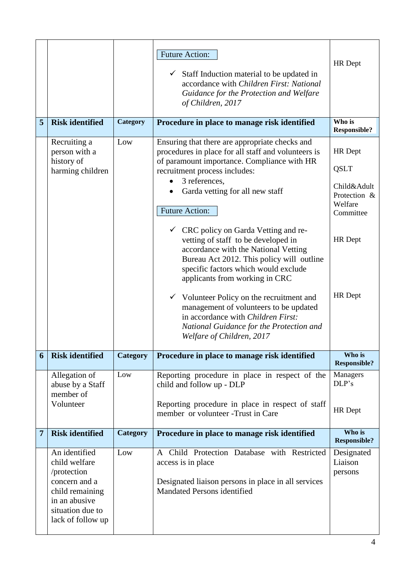|                |                                                                                                                                             |                 | <b>Future Action:</b><br>$\checkmark$ Staff Induction material to be updated in<br>accordance with Children First: National<br>Guidance for the Protection and Welfare<br>of Children, 2017                                                                                                                                                                                  | <b>HR</b> Dept                                                                                  |
|----------------|---------------------------------------------------------------------------------------------------------------------------------------------|-----------------|------------------------------------------------------------------------------------------------------------------------------------------------------------------------------------------------------------------------------------------------------------------------------------------------------------------------------------------------------------------------------|-------------------------------------------------------------------------------------------------|
| 5              | <b>Risk identified</b>                                                                                                                      | Category        | Procedure in place to manage risk identified                                                                                                                                                                                                                                                                                                                                 | Who is<br><b>Responsible?</b>                                                                   |
|                | Recruiting a<br>person with a<br>history of<br>harming children                                                                             | Low             | Ensuring that there are appropriate checks and<br>procedures in place for all staff and volunteers is<br>of paramount importance. Compliance with HR<br>recruitment process includes:<br>3 references,<br>Garda vetting for all new staff<br><b>Future Action:</b><br>$\checkmark$ CRC policy on Garda Vetting and re-<br>vetting of staff to be developed in                | <b>HR</b> Dept<br><b>QSLT</b><br>Child&Adult<br>Protection &<br>Welfare<br>Committee<br>HR Dept |
|                |                                                                                                                                             |                 | accordance with the National Vetting<br>Bureau Act 2012. This policy will outline<br>specific factors which would exclude<br>applicants from working in CRC<br>$\checkmark$ Volunteer Policy on the recruitment and<br>management of volunteers to be updated<br>in accordance with Children First:<br>National Guidance for the Protection and<br>Welfare of Children, 2017 | HR Dept                                                                                         |
| 6              | <b>Risk identified</b>                                                                                                                      | <b>Category</b> | Procedure in place to manage risk identified                                                                                                                                                                                                                                                                                                                                 | Who is<br><b>Responsible?</b>                                                                   |
|                | Allegation of<br>abuse by a Staff<br>member of<br>Volunteer                                                                                 | Low             | Reporting procedure in place in respect of the<br>child and follow up - DLP<br>Reporting procedure in place in respect of staff<br>member or volunteer - Trust in Care                                                                                                                                                                                                       | Managers<br>DLP's<br>HR Dept                                                                    |
| $\overline{7}$ | <b>Risk identified</b>                                                                                                                      | <b>Category</b> | Procedure in place to manage risk identified                                                                                                                                                                                                                                                                                                                                 | Who is<br><b>Responsible?</b>                                                                   |
|                | An identified<br>child welfare<br>/protection<br>concern and a<br>child remaining<br>in an abusive<br>situation due to<br>lack of follow up | Low             | A Child Protection Database with Restricted<br>access is in place<br>Designated liaison persons in place in all services<br>Mandated Persons identified                                                                                                                                                                                                                      | Designated<br>Liaison<br>persons                                                                |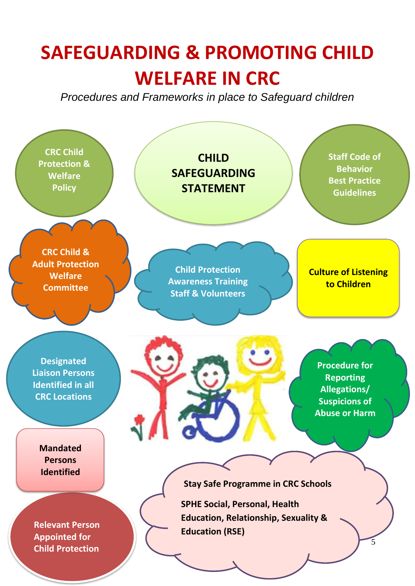# **SAFEGUARDING & PROMOTING CHILD WELFARE IN CRC**

*Procedures and Frameworks in place to Safeguard children* 

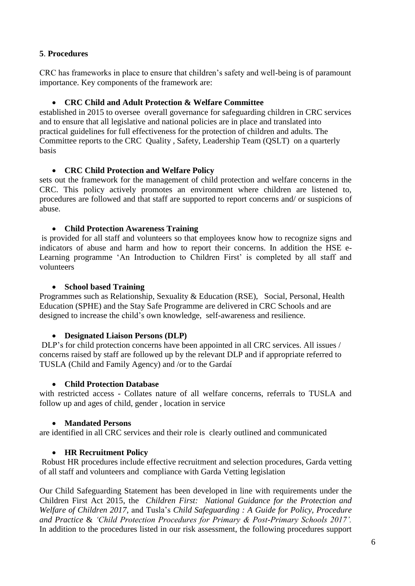### **5**. **Procedures**

CRC has frameworks in place to ensure that children's safety and well-being is of paramount importance. Key components of the framework are:

### **CRC Child and Adult Protection & Welfare Committee**

established in 2015 to oversee overall governance for safeguarding children in CRC services and to ensure that all legislative and national policies are in place and translated into practical guidelines for full effectiveness for the protection of children and adults. The Committee reports to the CRC Quality , Safety, Leadership Team (QSLT) on a quarterly basis

#### **CRC Child Protection and Welfare Policy**

sets out the framework for the management of child protection and welfare concerns in the CRC. This policy actively promotes an environment where children are listened to, procedures are followed and that staff are supported to report concerns and/ or suspicions of abuse.

#### **Child Protection Awareness Training**

is provided for all staff and volunteers so that employees know how to recognize signs and indicators of abuse and harm and how to report their concerns. In addition the HSE e-Learning programme 'An Introduction to Children First' is completed by all staff and volunteers

## **School based Training**

Programmes such as Relationship, Sexuality & Education (RSE), Social, Personal, Health Education (SPHE) and the Stay Safe Programme are delivered in CRC Schools and are designed to increase the child's own knowledge, self-awareness and resilience.

#### **Designated Liaison Persons (DLP)**

DLP's for child protection concerns have been appointed in all CRC services. All issues / concerns raised by staff are followed up by the relevant DLP and if appropriate referred to TUSLA (Child and Family Agency) and /or to the Gardaí

#### **Child Protection Database**

with restricted access - Collates nature of all welfare concerns, referrals to TUSLA and follow up and ages of child, gender , location in service

#### **Mandated Persons**

are identified in all CRC services and their role is clearly outlined and communicated

#### **HR Recruitment Policy**

Robust HR procedures include effective recruitment and selection procedures, Garda vetting of all staff and volunteers and compliance with Garda Vetting legislation

Our Child Safeguarding Statement has been developed in line with requirements under the Children First Act 2015, the *Children First: National Guidance for the Protection and Welfare of Children 2017,* and Tusla's *Child Safeguarding : A Guide for Policy, Procedure and Practice* & *'Child Protection Procedures for Primary & Post-Primary Schools 2017'.*  In addition to the procedures listed in our risk assessment, the following procedures support